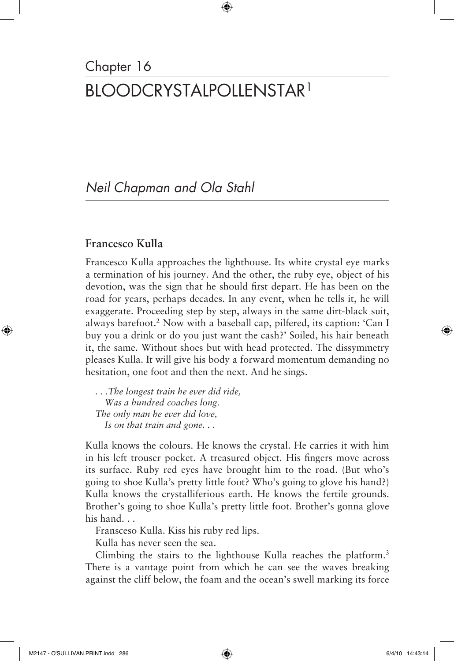# Chapter 16 BLOODCRYSTALPOLLENSTAR1

# *Neil Chapman and Ola Stahl*

# **Francesco Kulla**

⊕

Francesco Kulla approaches the lighthouse. Its white crystal eye marks a termination of his journey. And the other, the ruby eye, object of his devotion, was the sign that he should first depart. He has been on the road for years, perhaps decades. In any event, when he tells it, he will exaggerate. Proceeding step by step, always in the same dirt-black suit, always barefoot.2 Now with a baseball cap, pilfered, its caption: 'Can I buy you a drink or do you just want the cash?' Soiled, his hair beneath it, the same. Without shoes but with head protected. The dissymmetry pleases Kulla. It will give his body a forward momentum demanding no hesitation, one foot and then the next. And he sings.

*. . .The longest train he ever did ride, Was a hundred coaches long. The only man he ever did love, Is on that train and gone. . .*

Kulla knows the colours. He knows the crystal. He carries it with him in his left trouser pocket. A treasured object. His fingers move across its surface. Ruby red eyes have brought him to the road. (But who's going to shoe Kulla's pretty little foot? Who's going to glove his hand?) Kulla knows the crystalliferious earth. He knows the fertile grounds. Brother's going to shoe Kulla's pretty little foot. Brother's gonna glove his hand. . .

Fransceso Kulla. Kiss his ruby red lips.

Kulla has never seen the sea.

Climbing the stairs to the lighthouse Kulla reaches the platform.<sup>3</sup> There is a vantage point from which he can see the waves breaking against the cliff below, the foam and the ocean's swell marking its force ⊕

 $\widetilde{\mathcal{L}}$  and  $\widetilde{\mathcal{L}}$  and  $\widetilde{\mathcal{L}}$  and  $\widetilde{\mathcal{L}}$  and  $\widetilde{\mathcal{L}}$  and  $\widetilde{\mathcal{L}}$  and  $\widetilde{\mathcal{L}}$  and  $\widetilde{\mathcal{L}}$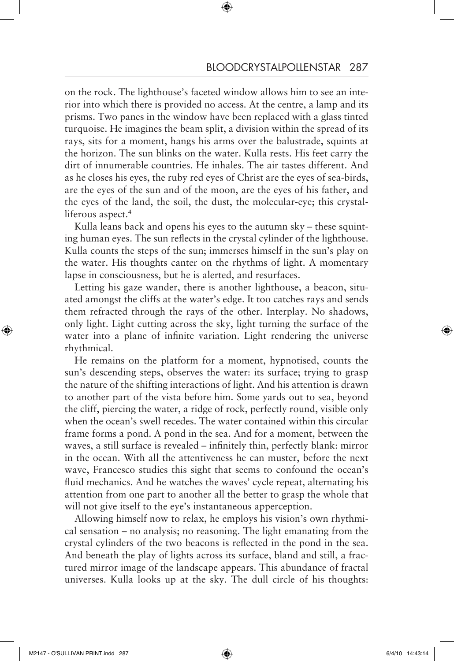on the rock. The lighthouse's faceted window allows him to see an interior into which there is provided no access. At the centre, a lamp and its prisms. Two panes in the window have been replaced with a glass tinted turquoise. He imagines the beam split, a division within the spread of its rays, sits for a moment, hangs his arms over the balustrade, squints at the horizon. The sun blinks on the water. Kulla rests. His feet carry the dirt of innumerable countries. He inhales. The air tastes different. And as he closes his eyes, the ruby red eyes of Christ are the eyes of sea-birds, are the eyes of the sun and of the moon, are the eyes of his father, and the eyes of the land, the soil, the dust, the molecular-eye; this crystalliferous aspect.<sup>4</sup>

 $\forall$ 

Kulla leans back and opens his eyes to the autumn sky – these squinting human eyes. The sun reflects in the crystal cylinder of the lighthouse. Kulla counts the steps of the sun; immerses himself in the sun's play on the water. His thoughts canter on the rhythms of light. A momentary lapse in consciousness, but he is alerted, and resurfaces.

Letting his gaze wander, there is another lighthouse, a beacon, situated amongst the cliffs at the water's edge. It too catches rays and sends them refracted through the rays of the other. Interplay. No shadows, only light. Light cutting across the sky, light turning the surface of the water into a plane of infinite variation. Light rendering the universe rhythmical.

He remains on the platform for a moment, hypnotised, counts the sun's descending steps, observes the water: its surface; trying to grasp the nature of the shifting interactions of light. And his attention is drawn to another part of the vista before him. Some yards out to sea, beyond the cliff, piercing the water, a ridge of rock, perfectly round, visible only when the ocean's swell recedes. The water contained within this circular frame forms a pond. A pond in the sea. And for a moment, between the waves, a still surface is revealed – infinitely thin, perfectly blank: mirror in the ocean. With all the attentiveness he can muster, before the next wave, Francesco studies this sight that seems to confound the ocean's fluid mechanics. And he watches the waves' cycle repeat, alternating his attention from one part to another all the better to grasp the whole that will not give itself to the eye's instantaneous apperception.

Allowing himself now to relax, he employs his vision's own rhythmical sensation – no analysis; no reasoning. The light emanating from the crystal cylinders of the two beacons is reflected in the pond in the sea. And beneath the play of lights across its surface, bland and still, a fractured mirror image of the landscape appears. This abundance of fractal universes. Kulla looks up at the sky. The dull circle of his thoughts:

⊕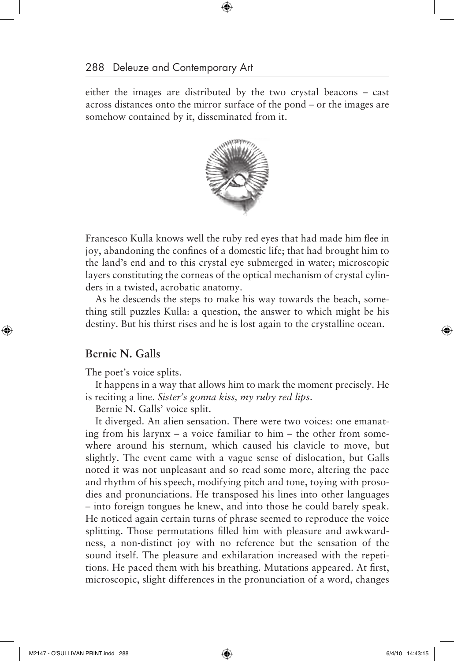either the images are distributed by the two crystal beacons – cast across distances onto the mirror surface of the pond – or the images are somehow contained by it, disseminated from it.



Francesco Kulla knows well the ruby red eyes that had made him flee in joy, abandoning the confines of a domestic life; that had brought him to the land's end and to this crystal eye submerged in water; microscopic layers constituting the corneas of the optical mechanism of crystal cylinders in a twisted, acrobatic anatomy.

As he descends the steps to make his way towards the beach, something still puzzles Kulla: a question, the answer to which might be his destiny. But his thirst rises and he is lost again to the crystalline ocean.

#### **Bernie N. Galls**

⊕

The poet's voice splits.

It happens in a way that allows him to mark the moment precisely. He is reciting a line. *Sister's gonna kiss, my ruby red lips*.

Bernie N. Galls' voice split.

It diverged. An alien sensation. There were two voices: one emanating from his larynx – a voice familiar to him – the other from somewhere around his sternum, which caused his clavicle to move, but slightly. The event came with a vague sense of dislocation, but Galls noted it was not unpleasant and so read some more, altering the pace and rhythm of his speech, modifying pitch and tone, toying with prosodies and pronunciations. He transposed his lines into other languages – into foreign tongues he knew, and into those he could barely speak. He noticed again certain turns of phrase seemed to reproduce the voice splitting. Those permutations filled him with pleasure and awkwardness, a non-distinct joy with no reference but the sensation of the sound itself. The pleasure and exhilaration increased with the repetitions. He paced them with his breathing. Mutations appeared. At first, microscopic, slight differences in the pronunciation of a word, changes ⊕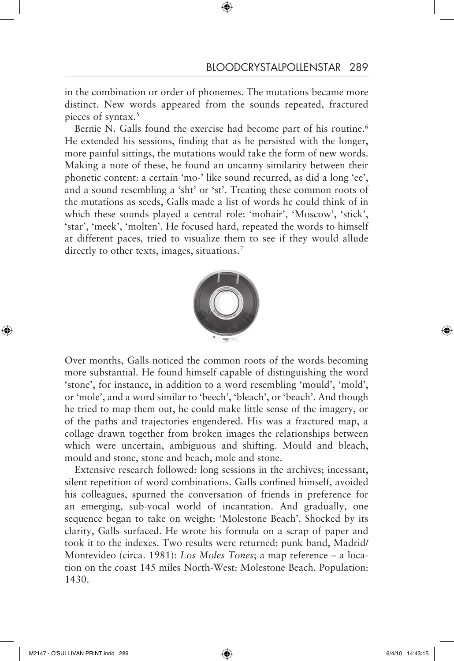in the combination or order of phonemes. The mutations became more distinct. New words appeared from the sounds repeated, fractured pieces of syntax.5

 $\Theta$ 

Bernie N. Galls found the exercise had become part of his routine.<sup>6</sup> He extended his sessions, finding that as he persisted with the longer, more painful sittings, the mutations would take the form of new words. Making a note of these, he found an uncanny similarity between their phonetic content: a certain 'mo-' like sound recurred, as did a long 'ee', and a sound resembling a 'sht' or 'st'. Treating these common roots of the mutations as seeds, Galls made a list of words he could think of in which these sounds played a central role: 'mohair', 'Moscow', 'stick', 'star', 'meek', 'molten'. He focused hard, repeated the words to himself at different paces, tried to visualize them to see if they would allude directly to other texts, images, situations.<sup>7</sup>



Over months, Galls noticed the common roots of the words becoming more substantial. He found himself capable of distinguishing the word 'stone', for instance, in addition to a word resembling 'mould', 'mold', or 'mole', and a word similar to 'beech', 'bleach', or 'beach'. And though he tried to map them out, he could make little sense of the imagery, or of the paths and trajectories engendered. His was a fractured map, a collage drawn together from broken images the relationships between which were uncertain, ambiguous and shifting. Mould and bleach, mould and stone, stone and beach, mole and stone.

Extensive research followed: long sessions in the archives; incessant, silent repetition of word combinations. Galls confined himself, avoided his colleagues, spurned the conversation of friends in preference for an emerging, sub-vocal world of incantation. And gradually, one sequence began to take on weight: 'Molestone Beach'. Shocked by its clarity, Galls surfaced. He wrote his formula on a scrap of paper and took it to the indexes. Two results were returned: punk band, Madrid/ Montevideo (circa. 1981): *Los Moles Tones*; a map reference – a location on the coast 145 miles North-West: Molestone Beach. Population: 1430.

M2147 - O'SULLIVAN PRINT.indd 289 **6/4/10 14:43:15** 

⊕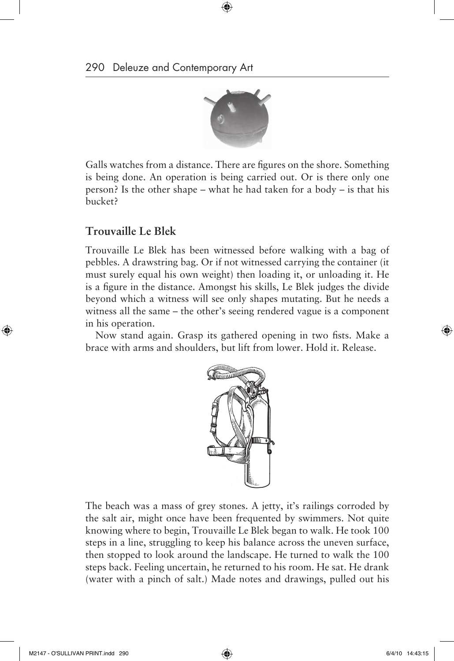

Galls watches from a distance. There are figures on the shore. Something is being done. An operation is being carried out. Or is there only one person? Is the other shape – what he had taken for a body – is that his bucket?

# **Trouvaille Le Blek**

Trouvaille Le Blek has been witnessed before walking with a bag of pebbles. A drawstring bag. Or if not witnessed carrying the container (it must surely equal his own weight) then loading it, or unloading it. He is a figure in the distance. Amongst his skills, Le Blek judges the divide beyond which a witness will see only shapes mutating. But he needs a witness all the same – the other's seeing rendered vague is a component in his operation.

Now stand again. Grasp its gathered opening in two fists. Make a brace with arms and shoulders, but lift from lower. Hold it. Release.



The beach was a mass of grey stones. A jetty, it's railings corroded by the salt air, might once have been frequented by swimmers. Not quite knowing where to begin, Trouvaille Le Blek began to walk. He took 100 steps in a line, struggling to keep his balance across the uneven surface, then stopped to look around the landscape. He turned to walk the 100 steps back. Feeling uncertain, he returned to his room. He sat. He drank (water with a pinch of salt.) Made notes and drawings, pulled out his

⊕

⊕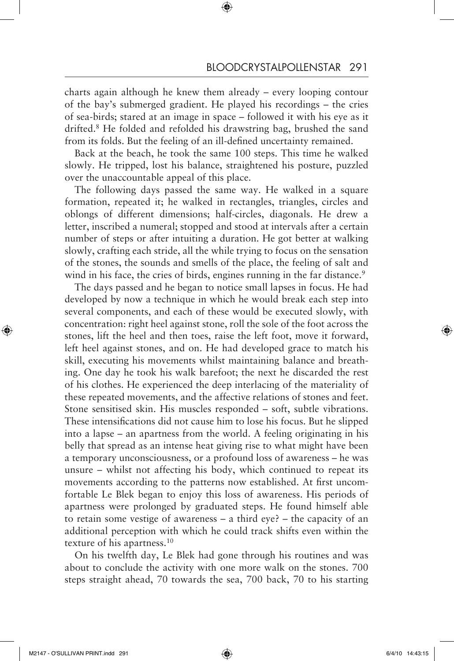charts again although he knew them already – every looping contour of the bay's submerged gradient. He played his recordings – the cries of sea-birds; stared at an image in space – followed it with his eye as it drifted.8 He folded and refolded his drawstring bag, brushed the sand from its folds. But the feeling of an ill-defined uncertainty remained.

 $\Theta$ 

Back at the beach, he took the same 100 steps. This time he walked slowly. He tripped, lost his balance, straightened his posture, puzzled over the unaccountable appeal of this place.

The following days passed the same way. He walked in a square formation, repeated it; he walked in rectangles, triangles, circles and oblongs of different dimensions; half-circles, diagonals. He drew a letter, inscribed a numeral; stopped and stood at intervals after a certain number of steps or after intuiting a duration. He got better at walking slowly, crafting each stride, all the while trying to focus on the sensation of the stones, the sounds and smells of the place, the feeling of salt and wind in his face, the cries of birds, engines running in the far distance.<sup>9</sup>

The days passed and he began to notice small lapses in focus. He had developed by now a technique in which he would break each step into several components, and each of these would be executed slowly, with concentration: right heel against stone, roll the sole of the foot across the stones, lift the heel and then toes, raise the left foot, move it forward, left heel against stones, and on. He had developed grace to match his skill, executing his movements whilst maintaining balance and breathing. One day he took his walk barefoot; the next he discarded the rest of his clothes. He experienced the deep interlacing of the materiality of these repeated movements, and the affective relations of stones and feet. Stone sensitised skin. His muscles responded – soft, subtle vibrations. These intensifications did not cause him to lose his focus. But he slipped into a lapse – an apartness from the world. A feeling originating in his belly that spread as an intense heat giving rise to what might have been a temporary unconsciousness, or a profound loss of awareness – he was unsure – whilst not affecting his body, which continued to repeat its movements according to the patterns now established. At first uncomfortable Le Blek began to enjoy this loss of awareness. His periods of apartness were prolonged by graduated steps. He found himself able to retain some vestige of awareness – a third eye? – the capacity of an additional perception with which he could track shifts even within the texture of his apartness.<sup>10</sup>

On his twelfth day, Le Blek had gone through his routines and was about to conclude the activity with one more walk on the stones. 700 steps straight ahead, 70 towards the sea, 700 back, 70 to his starting

⊕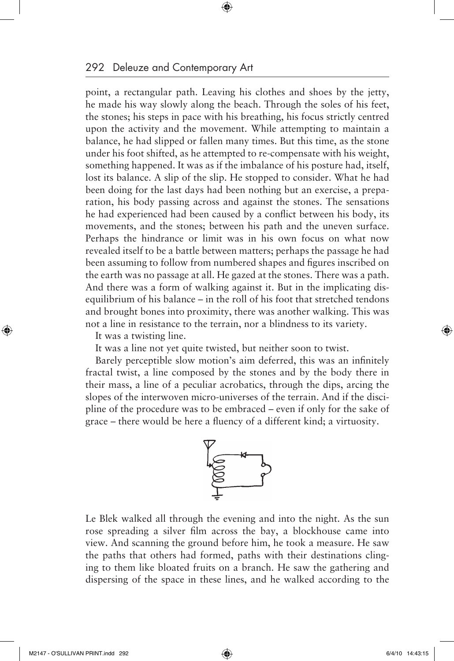point, a rectangular path. Leaving his clothes and shoes by the jetty, he made his way slowly along the beach. Through the soles of his feet, the stones; his steps in pace with his breathing, his focus strictly centred upon the activity and the movement. While attempting to maintain a balance, he had slipped or fallen many times. But this time, as the stone under his foot shifted, as he attempted to re-compensate with his weight, something happened. It was as if the imbalance of his posture had, itself, lost its balance. A slip of the slip. He stopped to consider. What he had been doing for the last days had been nothing but an exercise, a preparation, his body passing across and against the stones. The sensations he had experienced had been caused by a conflict between his body, its movements, and the stones; between his path and the uneven surface. Perhaps the hindrance or limit was in his own focus on what now revealed itself to be a battle between matters; perhaps the passage he had been assuming to follow from numbered shapes and figures inscribed on the earth was no passage at all. He gazed at the stones. There was a path. And there was a form of walking against it. But in the implicating disequilibrium of his balance – in the roll of his foot that stretched tendons and brought bones into proximity, there was another walking. This was not a line in resistance to the terrain, nor a blindness to its variety.

It was a twisting line.

⊕

It was a line not yet quite twisted, but neither soon to twist.

Barely perceptible slow motion's aim deferred, this was an infinitely fractal twist, a line composed by the stones and by the body there in their mass, a line of a peculiar acrobatics, through the dips, arcing the slopes of the interwoven micro-universes of the terrain. And if the discipline of the procedure was to be embraced – even if only for the sake of grace – there would be here a fluency of a different kind; a virtuosity.



Le Blek walked all through the evening and into the night. As the sun rose spreading a silver film across the bay, a blockhouse came into view. And scanning the ground before him, he took a measure. He saw the paths that others had formed, paths with their destinations clinging to them like bloated fruits on a branch. He saw the gathering and dispersing of the space in these lines, and he walked according to the

M2147 - O'SULLIVAN PRINT.indd 292 **6/4/10 14:43:15** 

⊕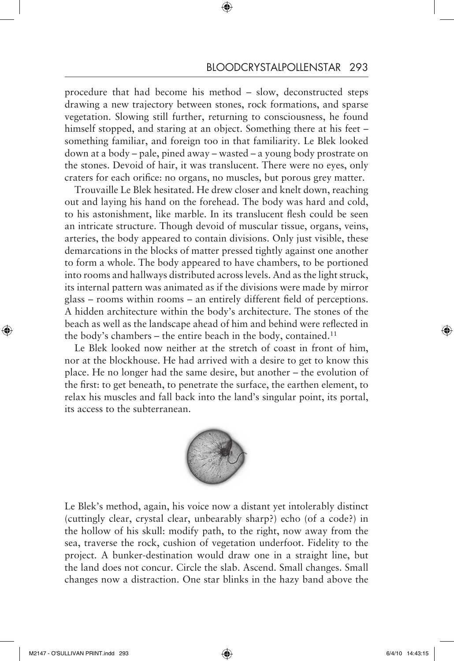procedure that had become his method – slow, deconstructed steps drawing a new trajectory between stones, rock formations, and sparse vegetation. Slowing still further, returning to consciousness, he found himself stopped, and staring at an object. Something there at his feet – something familiar, and foreign too in that familiarity. Le Blek looked down at a body – pale, pined away – wasted – a young body prostrate on the stones. Devoid of hair, it was translucent. There were no eyes, only craters for each orifice: no organs, no muscles, but porous grey matter.

 $\Theta$ 

Trouvaille Le Blek hesitated. He drew closer and knelt down, reaching out and laying his hand on the forehead. The body was hard and cold, to his astonishment, like marble. In its translucent flesh could be seen an intricate structure. Though devoid of muscular tissue, organs, veins, arteries, the body appeared to contain divisions. Only just visible, these demarcations in the blocks of matter pressed tightly against one another to form a whole. The body appeared to have chambers, to be portioned into rooms and hallways distributed across levels. And as the light struck, its internal pattern was animated as if the divisions were made by mirror glass – rooms within rooms – an entirely different field of perceptions. A hidden architecture within the body's architecture. The stones of the beach as well as the landscape ahead of him and behind were reflected in the body's chambers – the entire beach in the body, contained.11

Le Blek looked now neither at the stretch of coast in front of him, nor at the blockhouse. He had arrived with a desire to get to know this place. He no longer had the same desire, but another – the evolution of the first: to get beneath, to penetrate the surface, the earthen element, to relax his muscles and fall back into the land's singular point, its portal, its access to the subterranean.



Le Blek's method, again, his voice now a distant yet intolerably distinct (cuttingly clear, crystal clear, unbearably sharp?) echo (of a code?) in the hollow of his skull: modify path, to the right, now away from the sea, traverse the rock, cushion of vegetation underfoot. Fidelity to the project. A bunker-destination would draw one in a straight line, but the land does not concur. Circle the slab. Ascend. Small changes. Small changes now a distraction. One star blinks in the hazy band above the

M2147 - O'SULLIVAN PRINT.indd 293 **CALLIVAN PRINT.indd** 293 6/4/10 14:43:15

⊕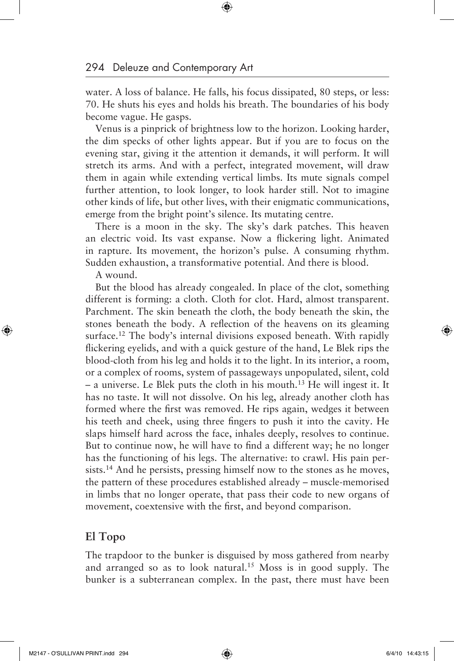water. A loss of balance. He falls, his focus dissipated, 80 steps, or less: 70. He shuts his eyes and holds his breath. The boundaries of his body become vague. He gasps.

Venus is a pinprick of brightness low to the horizon. Looking harder, the dim specks of other lights appear. But if you are to focus on the evening star, giving it the attention it demands, it will perform. It will stretch its arms. And with a perfect, integrated movement, will draw them in again while extending vertical limbs. Its mute signals compel further attention, to look longer, to look harder still. Not to imagine other kinds of life, but other lives, with their enigmatic communications, emerge from the bright point's silence. Its mutating centre.

There is a moon in the sky. The sky's dark patches. This heaven an electric void. Its vast expanse. Now a flickering light. Animated in rapture. Its movement, the horizon's pulse. A consuming rhythm. Sudden exhaustion, a transformative potential. And there is blood.

A wound.

⊕

But the blood has already congealed. In place of the clot, something different is forming: a cloth. Cloth for clot. Hard, almost transparent. Parchment. The skin beneath the cloth, the body beneath the skin, the stones beneath the body. A reflection of the heavens on its gleaming surface.<sup>12</sup> The body's internal divisions exposed beneath. With rapidly flickering eyelids, and with a quick gesture of the hand, Le Blek rips the blood-cloth from his leg and holds it to the light. In its interior, a room, or a complex of rooms, system of passageways unpopulated, silent, cold  $-$  a universe. Le Blek puts the cloth in his mouth.<sup>13</sup> He will ingest it. It has no taste. It will not dissolve. On his leg, already another cloth has formed where the first was removed. He rips again, wedges it between his teeth and cheek, using three fingers to push it into the cavity. He slaps himself hard across the face, inhales deeply, resolves to continue. But to continue now, he will have to find a different way; he no longer has the functioning of his legs. The alternative: to crawl. His pain persists.<sup>14</sup> And he persists, pressing himself now to the stones as he moves, the pattern of these procedures established already – muscle-memorised in limbs that no longer operate, that pass their code to new organs of movement, coextensive with the first, and beyond comparison.

## **El Topo**

The trapdoor to the bunker is disguised by moss gathered from nearby and arranged so as to look natural.<sup>15</sup> Moss is in good supply. The bunker is a subterranean complex. In the past, there must have been ⊕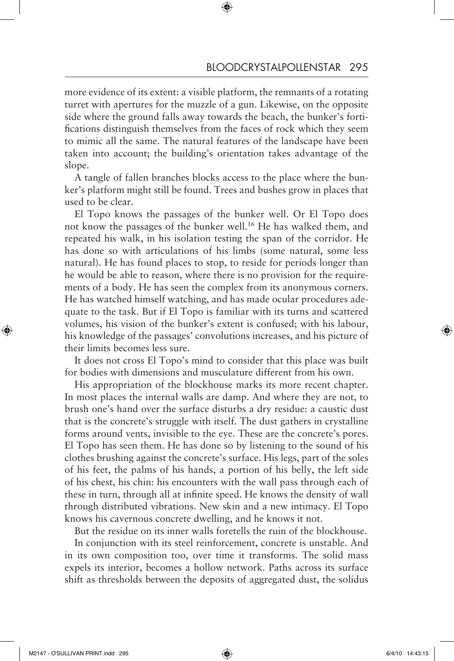more evidence of its extent: a visible platform, the remnants of a rotating turret with apertures for the muzzle of a gun. Likewise, on the opposite side where the ground falls away towards the beach, the bunker's fortifications distinguish themselves from the faces of rock which they seem to mimic all the same. The natural features of the landscape have been taken into account; the building's orientation takes advantage of the slope.

 $\Theta$ 

A tangle of fallen branches blocks access to the place where the bunker's platform might still be found. Trees and bushes grow in places that used to be clear.

El Topo knows the passages of the bunker well. Or El Topo does not know the passages of the bunker well.<sup>16</sup> He has walked them, and repeated his walk, in his isolation testing the span of the corridor. He has done so with articulations of his limbs (some natural, some less natural). He has found places to stop, to reside for periods longer than he would be able to reason, where there is no provision for the requirements of a body. He has seen the complex from its anonymous corners. He has watched himself watching, and has made ocular procedures adequate to the task. But if El Topo is familiar with its turns and scattered volumes, his vision of the bunker's extent is confused; with his labour, his knowledge of the passages' convolutions increases, and his picture of their limits becomes less sure.

It does not cross El Topo's mind to consider that this place was built for bodies with dimensions and musculature different from his own.

His appropriation of the blockhouse marks its more recent chapter. In most places the internal walls are damp. And where they are not, to brush one's hand over the surface disturbs a dry residue: a caustic dust that is the concrete's struggle with itself. The dust gathers in crystalline forms around vents, invisible to the eye. These are the concrete's pores. El Topo has seen them. He has done so by listening to the sound of his clothes brushing against the concrete's surface. His legs, part of the soles of his feet, the palms of his hands, a portion of his belly, the left side of his chest, his chin: his encounters with the wall pass through each of these in turn, through all at infinite speed. He knows the density of wall through distributed vibrations. New skin and a new intimacy. El Topo knows his cavernous concrete dwelling, and he knows it not.

But the residue on its inner walls foretells the ruin of the blockhouse. In conjunction with its steel reinforcement, concrete is unstable. And in its own composition too, over time it transforms. The solid mass expels its interior, becomes a hollow network. Paths across its surface shift as thresholds between the deposits of aggregated dust, the solidus

M2147 - O'SULLIVAN PRINT.indd 295 **6/4/10 14:43:15** 

⊕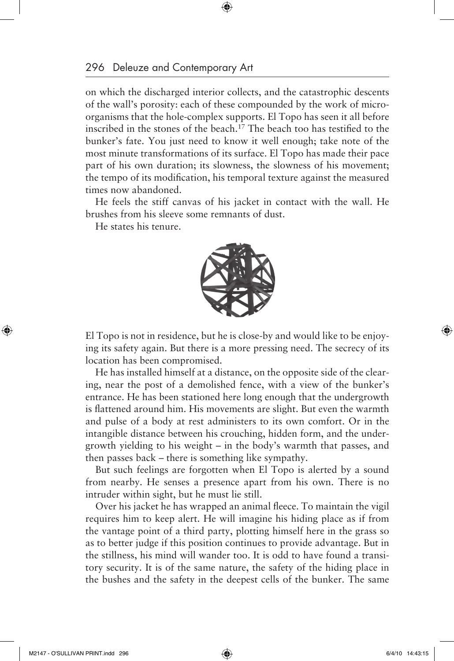on which the discharged interior collects, and the catastrophic descents of the wall's porosity: each of these compounded by the work of microorganisms that the hole-complex supports. El Topo has seen it all before inscribed in the stones of the beach.17 The beach too has testified to the bunker's fate. You just need to know it well enough; take note of the most minute transformations of its surface. El Topo has made their pace part of his own duration; its slowness, the slowness of his movement; the tempo of its modification, his temporal texture against the measured times now abandoned.

He feels the stiff canvas of his jacket in contact with the wall. He brushes from his sleeve some remnants of dust.

He states his tenure.



El Topo is not in residence, but he is close-by and would like to be enjoying its safety again. But there is a more pressing need. The secrecy of its location has been compromised.

He has installed himself at a distance, on the opposite side of the clearing, near the post of a demolished fence, with a view of the bunker's entrance. He has been stationed here long enough that the undergrowth is flattened around him. His movements are slight. But even the warmth and pulse of a body at rest administers to its own comfort. Or in the intangible distance between his crouching, hidden form, and the undergrowth yielding to his weight – in the body's warmth that passes, and then passes back – there is something like sympathy.

But such feelings are forgotten when El Topo is alerted by a sound from nearby. He senses a presence apart from his own. There is no intruder within sight, but he must lie still.

Over his jacket he has wrapped an animal fleece. To maintain the vigil requires him to keep alert. He will imagine his hiding place as if from the vantage point of a third party, plotting himself here in the grass so as to better judge if this position continues to provide advantage. But in the stillness, his mind will wander too. It is odd to have found a transitory security. It is of the same nature, the safety of the hiding place in the bushes and the safety in the deepest cells of the bunker. The same

◈

⊕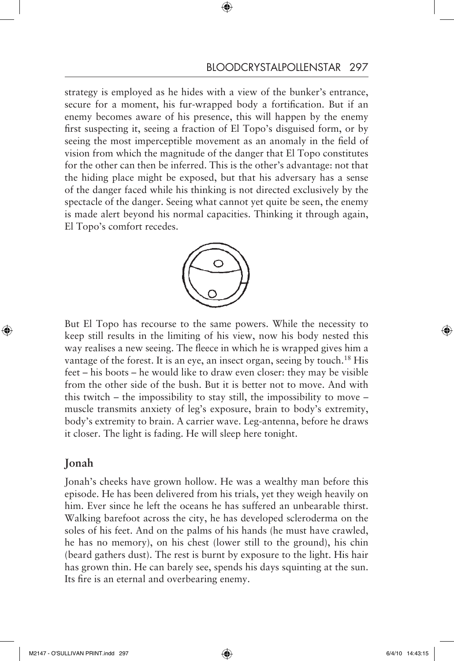strategy is employed as he hides with a view of the bunker's entrance, secure for a moment, his fur-wrapped body a fortification. But if an enemy becomes aware of his presence, this will happen by the enemy first suspecting it, seeing a fraction of El Topo's disguised form, or by seeing the most imperceptible movement as an anomaly in the field of vision from which the magnitude of the danger that El Topo constitutes for the other can then be inferred. This is the other's advantage: not that the hiding place might be exposed, but that his adversary has a sense of the danger faced while his thinking is not directed exclusively by the spectacle of the danger. Seeing what cannot yet quite be seen, the enemy is made alert beyond his normal capacities. Thinking it through again, El Topo's comfort recedes.

 $\Theta$ 



But El Topo has recourse to the same powers. While the necessity to keep still results in the limiting of his view, now his body nested this way realises a new seeing. The fleece in which he is wrapped gives him a vantage of the forest. It is an eye, an insect organ, seeing by touch.<sup>18</sup> His feet – his boots – he would like to draw even closer: they may be visible from the other side of the bush. But it is better not to move. And with this twitch – the impossibility to stay still, the impossibility to move – muscle transmits anxiety of leg's exposure, brain to body's extremity, body's extremity to brain. A carrier wave. Leg-antenna, before he draws it closer. The light is fading. He will sleep here tonight.

# **Jonah**

⊕

Jonah's cheeks have grown hollow. He was a wealthy man before this episode. He has been delivered from his trials, yet they weigh heavily on him. Ever since he left the oceans he has suffered an unbearable thirst. Walking barefoot across the city, he has developed scleroderma on the soles of his feet. And on the palms of his hands (he must have crawled, he has no memory), on his chest (lower still to the ground), his chin (beard gathers dust). The rest is burnt by exposure to the light. His hair has grown thin. He can barely see, spends his days squinting at the sun. Its fire is an eternal and overbearing enemy.

M2147 - O'SULLIVAN PRINT.indd 297 **6/4/10 14:43:15**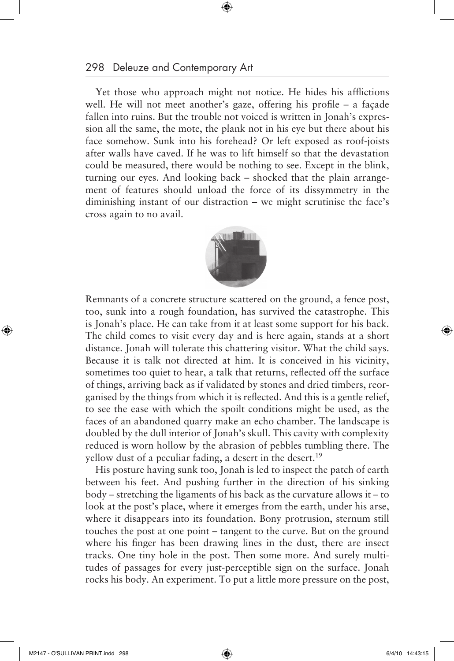Yet those who approach might not notice. He hides his afflictions well. He will not meet another's gaze, offering his profile – a façade fallen into ruins. But the trouble not voiced is written in Jonah's expression all the same, the mote, the plank not in his eye but there about his face somehow. Sunk into his forehead? Or left exposed as roof-joists after walls have caved. If he was to lift himself so that the devastation could be measured, there would be nothing to see. Except in the blink, turning our eyes. And looking back – shocked that the plain arrangement of features should unload the force of its dissymmetry in the diminishing instant of our distraction – we might scrutinise the face's cross again to no avail.



Remnants of a concrete structure scattered on the ground, a fence post, too, sunk into a rough foundation, has survived the catastrophe. This is Jonah's place. He can take from it at least some support for his back. The child comes to visit every day and is here again, stands at a short distance. Jonah will tolerate this chattering visitor. What the child says. Because it is talk not directed at him. It is conceived in his vicinity, sometimes too quiet to hear, a talk that returns, reflected off the surface of things, arriving back as if validated by stones and dried timbers, reorganised by the things from which it is reflected. And this is a gentle relief, to see the ease with which the spoilt conditions might be used, as the faces of an abandoned quarry make an echo chamber. The landscape is doubled by the dull interior of Jonah's skull. This cavity with complexity reduced is worn hollow by the abrasion of pebbles tumbling there. The yellow dust of a peculiar fading, a desert in the desert.19

His posture having sunk too, Jonah is led to inspect the patch of earth between his feet. And pushing further in the direction of his sinking body – stretching the ligaments of his back as the curvature allows it – to look at the post's place, where it emerges from the earth, under his arse, where it disappears into its foundation. Bony protrusion, sternum still touches the post at one point – tangent to the curve. But on the ground where his finger has been drawing lines in the dust, there are insect tracks. One tiny hole in the post. Then some more. And surely multitudes of passages for every just-perceptible sign on the surface. Jonah rocks his body. An experiment. To put a little more pressure on the post,

M2147 - O'SULLIVAN PRINT.indd 298 **6/4/10 14:43:15** 

⊕

⊕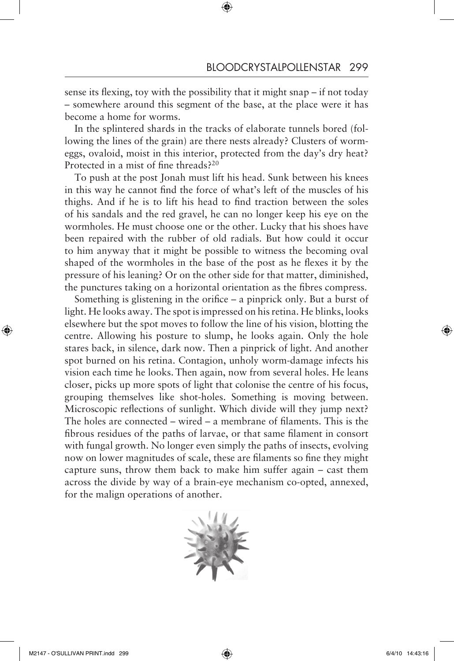sense its flexing, toy with the possibility that it might snap – if not today – somewhere around this segment of the base, at the place were it has become a home for worms.

 $\Theta$ 

In the splintered shards in the tracks of elaborate tunnels bored (following the lines of the grain) are there nests already? Clusters of wormeggs, ovaloid, moist in this interior, protected from the day's dry heat? Protected in a mist of fine threads?<sup>20</sup>

To push at the post Jonah must lift his head. Sunk between his knees in this way he cannot find the force of what's left of the muscles of his thighs. And if he is to lift his head to find traction between the soles of his sandals and the red gravel, he can no longer keep his eye on the wormholes. He must choose one or the other. Lucky that his shoes have been repaired with the rubber of old radials. But how could it occur to him anyway that it might be possible to witness the becoming oval shaped of the wormholes in the base of the post as he flexes it by the pressure of his leaning? Or on the other side for that matter, diminished, the punctures taking on a horizontal orientation as the fibres compress.

Something is glistening in the orifice – a pinprick only. But a burst of light. He looks away. The spot is impressed on his retina. He blinks, looks elsewhere but the spot moves to follow the line of his vision, blotting the centre. Allowing his posture to slump, he looks again. Only the hole stares back, in silence, dark now. Then a pinprick of light. And another spot burned on his retina. Contagion, unholy worm-damage infects his vision each time he looks. Then again, now from several holes. He leans closer, picks up more spots of light that colonise the centre of his focus, grouping themselves like shot-holes. Something is moving between. Microscopic reflections of sunlight. Which divide will they jump next? The holes are connected – wired – a membrane of filaments. This is the fibrous residues of the paths of larvae, or that same filament in consort with fungal growth. No longer even simply the paths of insects, evolving now on lower magnitudes of scale, these are filaments so fine they might capture suns, throw them back to make him suffer again – cast them across the divide by way of a brain-eye mechanism co-opted, annexed, for the malign operations of another.



◈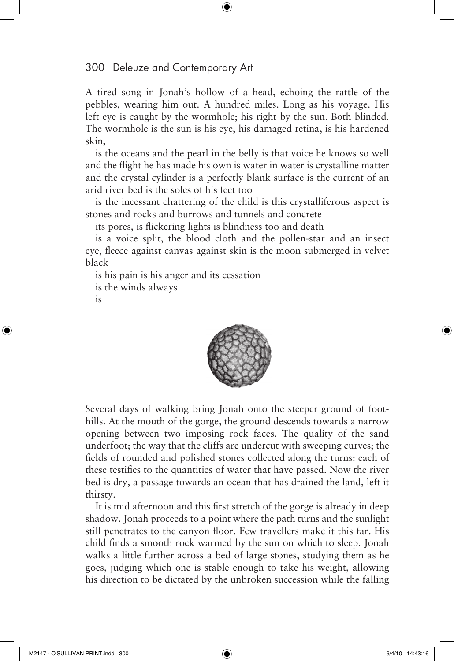A tired song in Jonah's hollow of a head, echoing the rattle of the pebbles, wearing him out. A hundred miles. Long as his voyage. His left eye is caught by the wormhole; his right by the sun. Both blinded. The wormhole is the sun is his eye, his damaged retina, is his hardened skin,

is the oceans and the pearl in the belly is that voice he knows so well and the flight he has made his own is water in water is crystalline matter and the crystal cylinder is a perfectly blank surface is the current of an arid river bed is the soles of his feet too

is the incessant chattering of the child is this crystalliferous aspect is stones and rocks and burrows and tunnels and concrete

its pores, is flickering lights is blindness too and death

is a voice split, the blood cloth and the pollen-star and an insect eye, fleece against canvas against skin is the moon submerged in velvet black

is his pain is his anger and its cessation

is the winds always

is

⊕



Several days of walking bring Jonah onto the steeper ground of foothills. At the mouth of the gorge, the ground descends towards a narrow opening between two imposing rock faces. The quality of the sand underfoot; the way that the cliffs are undercut with sweeping curves; the fields of rounded and polished stones collected along the turns: each of these testifies to the quantities of water that have passed. Now the river bed is dry, a passage towards an ocean that has drained the land, left it thirsty.

It is mid afternoon and this first stretch of the gorge is already in deep shadow. Jonah proceeds to a point where the path turns and the sunlight still penetrates to the canyon floor. Few travellers make it this far. His child finds a smooth rock warmed by the sun on which to sleep. Jonah walks a little further across a bed of large stones, studying them as he goes, judging which one is stable enough to take his weight, allowing his direction to be dictated by the unbroken succession while the falling ⊕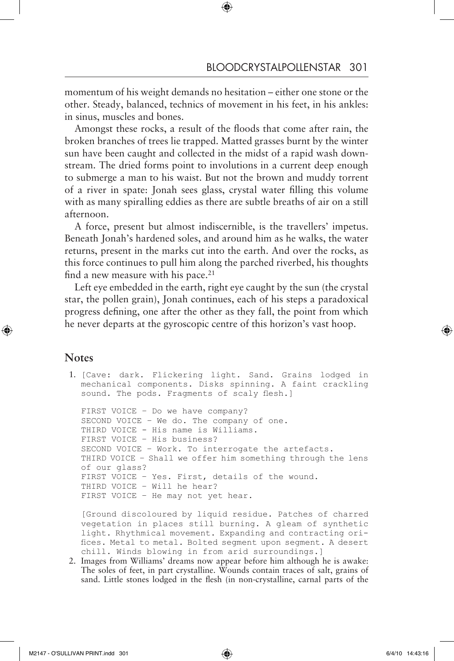momentum of his weight demands no hesitation – either one stone or the other. Steady, balanced, technics of movement in his feet, in his ankles: in sinus, muscles and bones.

 $\Theta$ 

Amongst these rocks, a result of the floods that come after rain, the broken branches of trees lie trapped. Matted grasses burnt by the winter sun have been caught and collected in the midst of a rapid wash downstream. The dried forms point to involutions in a current deep enough to submerge a man to his waist. But not the brown and muddy torrent of a river in spate: Jonah sees glass, crystal water filling this volume with as many spiralling eddies as there are subtle breaths of air on a still afternoon.

A force, present but almost indiscernible, is the travellers' impetus. Beneath Jonah's hardened soles, and around him as he walks, the water returns, present in the marks cut into the earth. And over the rocks, as this force continues to pull him along the parched riverbed, his thoughts find a new measure with his pace. $21$ 

Left eye embedded in the earth, right eye caught by the sun (the crystal star, the pollen grain), Jonah continues, each of his steps a paradoxical progress defining, one after the other as they fall, the point from which he never departs at the gyroscopic centre of this horizon's vast hoop.

## **Notes**

◈

1. [Cave: dark. Flickering light. Sand. Grains lodged in mechanical components. Disks spinning. A faint crackling sound. The pods. Fragments of scaly flesh.]

FIRST VOICE – Do we have company? SECOND VOICE – We do. The company of one. THIRD VOICE - His name is Williams. FIRST VOICE – His business? SECOND VOICE – Work. To interrogate the artefacts. THIRD VOICE – Shall we offer him something through the lens of our glass? FIRST VOICE – Yes. First, details of the wound. THIRD VOICE – Will he hear? FIRST VOICE – He may not yet hear.

[Ground discoloured by liquid residue. Patches of charred vegetation in places still burning. A gleam of synthetic light. Rhythmical movement. Expanding and contracting orifices. Metal to metal. Bolted segment upon segment. A desert chill. Winds blowing in from arid surroundings.]

2. Images from Williams' dreams now appear before him although he is awake: The soles of feet, in part crystalline. Wounds contain traces of salt, grains of sand. Little stones lodged in the flesh (in non-crystalline, carnal parts of the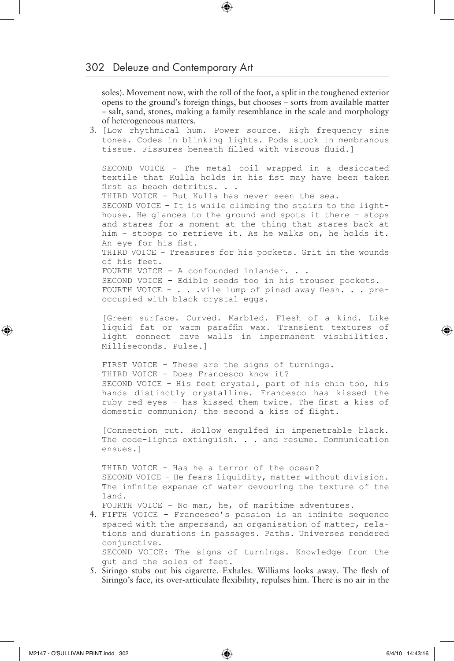soles). Movement now, with the roll of the foot, a split in the toughened exterior opens to the ground's foreign things, but chooses – sorts from available matter – salt, sand, stones, making a family resemblance in the scale and morphology of heterogeneous matters.

3. [Low rhythmical hum. Power source. High frequency sine tones. Codes in blinking lights. Pods stuck in membranous tissue. Fissures beneath filled with viscous fluid.]

SECOND VOICE - The metal coil wrapped in a desiccated textile that Kulla holds in his fist may have been taken first as beach detritus. . . THIRD VOICE - But Kulla has never seen the sea. SECOND VOICE - It is while climbing the stairs to the lighthouse. He glances to the ground and spots it there – stops and stares for a moment at the thing that stares back at him – stoops to retrieve it. As he walks on, he holds it. An eye for his fist. THIRD VOICE - Treasures for his pockets. Grit in the wounds of his feet. FOURTH VOICE - A confounded inlander. . SECOND VOICE - Edible seeds too in his trouser pockets. FOURTH VOICE - . . . vile lump of pined away flesh. . . preoccupied with black crystal eggs.

[Green surface. Curved. Marbled. Flesh of a kind. Like liquid fat or warm paraffin wax. Transient textures of light connect cave walls in impermanent visibilities. Milliseconds. Pulse.]

FIRST VOICE - These are the signs of turnings. THIRD VOICE - Does Francesco know it? SECOND VOICE - His feet crystal, part of his chin too, his hands distinctly crystalline. Francesco has kissed the ruby red eyes – has kissed them twice. The first a kiss of domestic communion; the second a kiss of flight.

[Connection cut. Hollow engulfed in impenetrable black. The code-lights extinguish. . . and resume. Communication ensues.]

THIRD VOICE - Has he a terror of the ocean? SECOND VOICE - He fears liquidity, matter without division. The infinite expanse of water devouring the texture of the land.

- FOURTH VOICE No man, he, of maritime adventures.
- 4. FIFTH VOICE Francesco's passion is an infinite sequence spaced with the ampersand, an organisation of matter, relations and durations in passages. Paths. Universes rendered conjunctive. SECOND VOICE: The signs of turnings. Knowledge from the gut and the soles of feet.
- 5. Siringo stubs out his cigarette. Exhales. Williams looks away. The flesh of Siringo's face, its over-articulate flexibility, repulses him. There is no air in the

⊕

⊕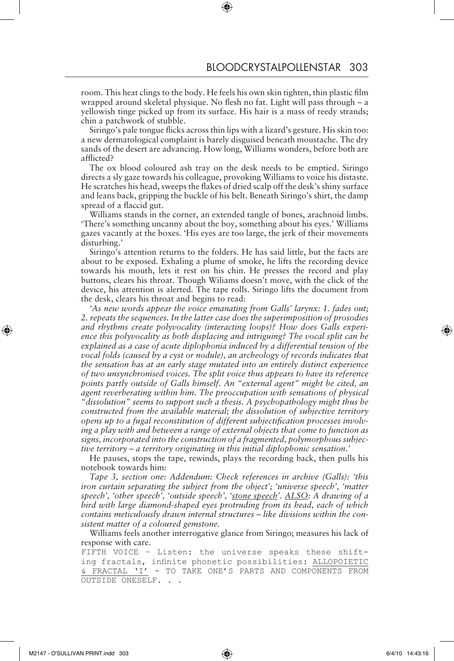room. This heat clings to the body. He feels his own skin tighten, thin plastic film wrapped around skeletal physique. No flesh no fat. Light will pass through – a yellowish tinge picked up from its surface. His hair is a mass of reedy strands; chin a patchwork of stubble.

 $\Theta$ 

 Siringo's pale tongue flicks across thin lips with a lizard's gesture. His skin too: a new dermatological complaint is barely disguised beneath moustache. The dry sands of the desert are advancing. How long, Williams wonders, before both are afflicted?

 The ox blood coloured ash tray on the desk needs to be emptied. Siringo directs a sly gaze towards his colleague, provoking Williams to voice his distaste. He scratches his head, sweeps the flakes of dried scalp off the desk's shiny surface and leans back, gripping the buckle of his belt. Beneath Siringo's shirt, the damp spread of a flaccid gut.

 Williams stands in the corner, an extended tangle of bones, arachnoid limbs. 'There's something uncanny about the boy, something about his eyes.' Williams gazes vacantly at the boxes. 'His eyes are too large, the jerk of their movements disturbing.'

 Siringo's attention returns to the folders. He has said little, but the facts are about to be exposed. Exhaling a plume of smoke, he lifts the recording device towards his mouth, lets it rest on his chin. He presses the record and play buttons, clears his throat. Though Wiliams doesn't move, with the click of the device, his attention is alerted. The tape rolls. Siringo lifts the document from the desk, clears his throat and begins to read:

*'As new words appear the voice emanating from Galls' larynx: 1. fades out; 2. repeats the sequences. In the latter case does the superimposition of prosodies and rhythms create polyvocality (interacting loops)? How does Galls experience this polyvocality as both displacing and intriguing? The vocal split can be explained as a case of acute diplophonia induced by a differential tension of the vocal folds (caused by a cyst or nodule), an archeology of records indicates that the sensation has at an early stage mutated into an entirely distinct experience of two unsynchronised voices. The split voice thus appears to have its reference points partly outside of Galls himself. An "external agent" might be cited, an agent reverberating within him. The preoccupation with sensations of physical "dissolution" seems to support such a thesis. A psychopathology might thus be constructed from the available material; the dissolution of subjective territory opens up to a fugal reconstitution of different subjectification processes involving a play with and between a range of external objects that come to function as signs, incorporated into the construction of a fragmented, polymorphous subjective territory – a territory originating in this initial diplophonic sensation.'*

 He pauses, stops the tape, rewinds, plays the recording back, then pulls his notebook towards him:

*Tape 3, section one: Addendum: Check references in archive (Galls): 'this iron curtain separating the subject from the object'; 'universe speech', 'matter speech', 'other speech', 'outside speech', 'stone speech'. ALSO: A drawing of a bird with large diamond-shaped eyes protruding from its head, each of which contains meticulously drawn internal structures – like divisions within the consistent matter of a coloured gemstone.*

 Williams feels another interrogative glance from Siringo; measures his lack of response with care.

FIFTH VOICE – Listen: the universe speaks these shifting fractals, infinite phonetic possibilities: ALLOPOIETIC & FRACTAL 'I' - TO TAKE ONE'S PARTS AND COMPONENTS FROM OUTSIDE ONESELF. . .

M2147 - O'SULLIVAN PRINT.indd 303 6/4/10 14:43:16

⊕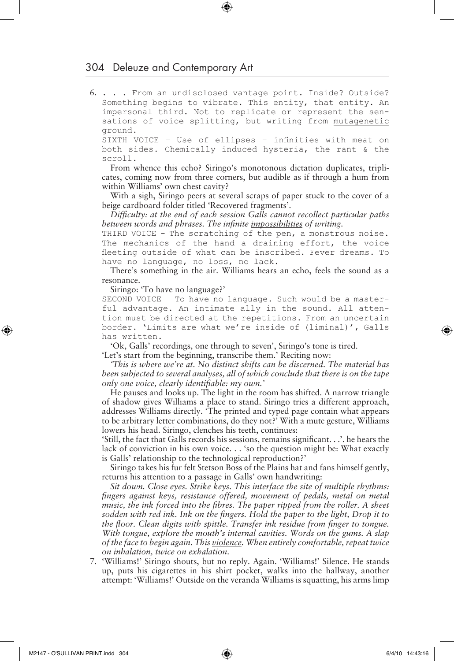6. . . . From an undisclosed vantage point. Inside? Outside? Something begins to vibrate. This entity, that entity. An impersonal third. Not to replicate or represent the sensations of voice splitting, but writing from mutagenetic ground.

SIXTH VOICE – Use of ellipses – infinities with meat on both sides. Chemically induced hysteria, the rant & the scroll.

 From whence this echo? Siringo's monotonous dictation duplicates, triplicates, coming now from three corners, but audible as if through a hum from within Williams' own chest cavity?

 With a sigh, Siringo peers at several scraps of paper stuck to the cover of a beige cardboard folder titled 'Recovered fragments'.

*Difficulty: at the end of each session Galls cannot recollect particular paths between words and phrases. The infinite impossibilities of writing.*

THIRD VOICE - The scratching of the pen, a monstrous noise. The mechanics of the hand a draining effort, the voice fleeting outside of what can be inscribed. Fever dreams. To have no language, no loss, no lack.

 There's something in the air. Williams hears an echo, feels the sound as a resonance.

Siringo: 'To have no language?'

SECOND VOICE – To have no language. Such would be a masterful advantage. An intimate ally in the sound. All attention must be directed at the repetitions. From an uncertain border. 'Limits are what we're inside of (liminal)', Galls has written.

'Ok, Galls' recordings, one through to seven', Siringo's tone is tired.

'Let's start from the beginning, transcribe them.' Reciting now:

*'This is where we're at. No distinct shifts can be discerned. The material has been subjected to several analyses, all of which conclude that there is on the tape only one voice, clearly identifiable: my own.'*

 He pauses and looks up. The light in the room has shifted. A narrow triangle of shadow gives Williams a place to stand. Siringo tries a different approach, addresses Williams directly. 'The printed and typed page contain what appears to be arbitrary letter combinations, do they not?' With a mute gesture, Williams lowers his head. Siringo, clenches his teeth, continues:

'Still, the fact that Galls records his sessions, remains significant. . .'. he hears the lack of conviction in his own voice. . . 'so the question might be: What exactly is Galls' relationship to the technological reproduction?'

 Siringo takes his fur felt Stetson Boss of the Plains hat and fans himself gently, returns his attention to a passage in Galls' own handwriting:

*Sit down. Close eyes. Strike keys. This interface the site of multiple rhythms: fingers against keys, resistance offered, movement of pedals, metal on metal music, the ink forced into the fibres. The paper ripped from the roller. A sheet sodden with red ink. Ink on the fingers. Hold the paper to the light, Drop it to the floor. Clean digits with spittle. Transfer ink residue from finger to tongue. With tongue, explore the mouth's internal cavities. Words on the gums. A slap of the face to begin again. This violence. When entirely comfortable, repeat twice on inhalation, twice on exhalation*.

7. 'Williams!' Siringo shouts, but no reply. Again. 'Williams!' Silence. He stands up, puts his cigarettes in his shirt pocket, walks into the hallway, another attempt: 'Williams!' Outside on the veranda Williams is squatting, his arms limp

M2147 - O'SULLIVAN PRINT.indd 304 **6/4/10 14:43:16** 

⊕

⊕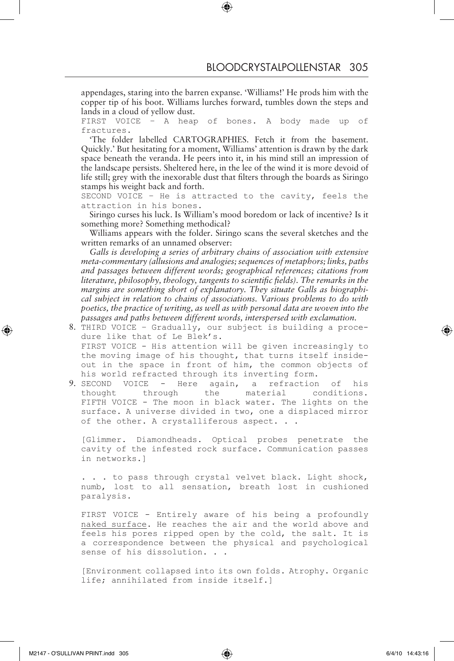| appendages, staring into the barren expanse. 'Williams!' He prods him with the<br>copper tip of his boot. Williams lurches forward, tumbles down the steps and<br>lands in a cloud of yellow dust. |
|----------------------------------------------------------------------------------------------------------------------------------------------------------------------------------------------------|
| FIRST VOICE - A heap of bones. A body made up of                                                                                                                                                   |
| fractures.<br>'The folder labelled CARTOGRAPHIES. Fetch it from the basement.                                                                                                                      |
| Quickly.' But hesitating for a moment, Williams' attention is drawn by the dark                                                                                                                    |
| space beneath the veranda. He peers into it, in his mind still an impression of                                                                                                                    |
| the landscape persists. Sheltered here, in the lee of the wind it is more devoid of                                                                                                                |
| life still; grey with the inexorable dust that filters through the boards as Siringo                                                                                                               |

 $\Theta$ 

stamps his weight back and forth. SECOND VOICE – He is attracted to the cavity, feels the attraction in his bones.

 Siringo curses his luck. Is William's mood boredom or lack of incentive? Is it something more? Something methodical?

 Williams appears with the folder. Siringo scans the several sketches and the written remarks of an unnamed observer:

*Galls is developing a series of arbitrary chains of association with extensive meta-commentary (allusions and analogies; sequences of metaphors; links, paths and passages between different words; geographical references; citations from literature, philosophy, theology, tangents to scientific fields). The remarks in the margins are something short of explanatory. They situate Galls as biographical subject in relation to chains of associations. Various problems to do with poetics, the practice of writing, as well as with personal data are woven into the passages and paths between different words, interspersed with exclamation.*

8. THIRD VOICE – Gradually, our subject is building a procedure like that of Le Blek's.

FIRST VOICE - His attention will be given increasingly to the moving image of his thought, that turns itself insideout in the space in front of him, the common objects of his world refracted through its inverting form.

9. SECOND VOICE - Here again, a refraction of his<br>thought through the material conditions. material conditions. FIFTH VOICE - The moon in black water. The lights on the surface. A universe divided in two, one a displaced mirror of the other. A crystalliferous aspect. . .

[Glimmer. Diamondheads. Optical probes penetrate the cavity of the infested rock surface. Communication passes in networks.]

. . . to pass through crystal velvet black. Light shock, numb, lost to all sensation, breath lost in cushioned paralysis.

FIRST VOICE - Entirely aware of his being a profoundly naked surface. He reaches the air and the world above and feels his pores ripped open by the cold, the salt. It is a correspondence between the physical and psychological sense of his dissolution. . .

[Environment collapsed into its own folds. Atrophy. Organic life; annihilated from inside itself.]

M2147 - O'SULLIVAN PRINT.indd 305 6/4/10 14:43:16

⊕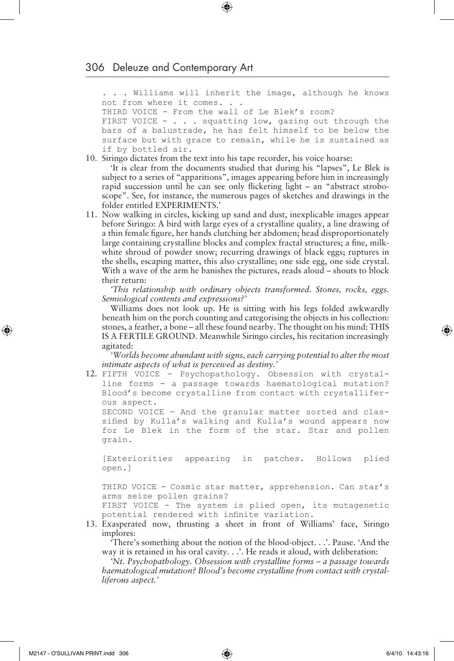. . . Williams will inherit the image, although he knows not from where it comes. . .

```
THIRD VOICE - From the wall of Le Blek's room?
```
FIRST VOICE - . . . squatting low, gazing out through the bars of a balustrade, he has felt himself to be below the surface but with grace to remain, while he is sustained as if by bottled air.

10. Siringo dictates from the text into his tape recorder, his voice hoarse:

 'It is clear from the documents studied that during his "lapses", Le Blek is subject to a series of "apparitions", images appearing before him in increasingly rapid succession until he can see only flickering light – an "abstract stroboscope". See, for instance, the numerous pages of sketches and drawings in the folder entitled EXPERIMENTS.'

11. Now walking in circles, kicking up sand and dust, inexplicable images appear before Siringo: A bird with large eyes of a crystalline quality, a line drawing of a thin female figure, her hands clutching her abdomen; head disproportionately large containing crystalline blocks and complex fractal structures; a fine, milkwhite shroud of powder snow; recurring drawings of black eggs; ruptures in the shells, escaping matter, this also crystalline; one side egg, one side crystal. With a wave of the arm he banishes the pictures, reads aloud – shouts to block their return:

*'This relationship with ordinary objects transformed. Stones, rocks, eggs. Semiological contents and expressions?'*

 Williams does not look up. He is sitting with his legs folded awkwardly beneath him on the porch counting and categorising the objects in his collection: stones, a feather, a bone – all these found nearby. The thought on his mind: THIS IS A FERTILE GROUND. Meanwhile Siringo circles, his recitation increasingly agitated:

*'Worlds become abundant with signs, each carrying potential to alter the most intimate aspects of what is perceived as destiny.'*

12. FIFTH VOICE - Psychopathology. Obsession with crystalline forms - a passage towards haematological mutation? Blood's become crystalline from contact with crystalliferous aspect.

SECOND VOICE - And the granular matter sorted and classified by Kulla's walking and Kulla's wound appears now for Le Blek in the form of the star. Star and pollen grain.

[Exteriorities appearing in patches. Hollows plied open.]

THIRD VOICE - Cosmic star matter, apprehension. Can star's arms seize pollen grains?

FIRST VOICE - The system is plied open, its mutagenetic potential rendered with infinite variation.

13. Exasperated now, thrusting a sheet in front of Williams' face, Siringo implores:

 'There's something about the notion of the blood-object. . .'. Pause. 'And the way it is retained in his oral cavity. . .'. He reads it aloud, with deliberation:

*'Nt. Psychopathology. Obsession with crystalline forms – a passage towards haematological mutation? Blood's become crystalline from contact with crystalliferous aspect.'*

⊕

⊕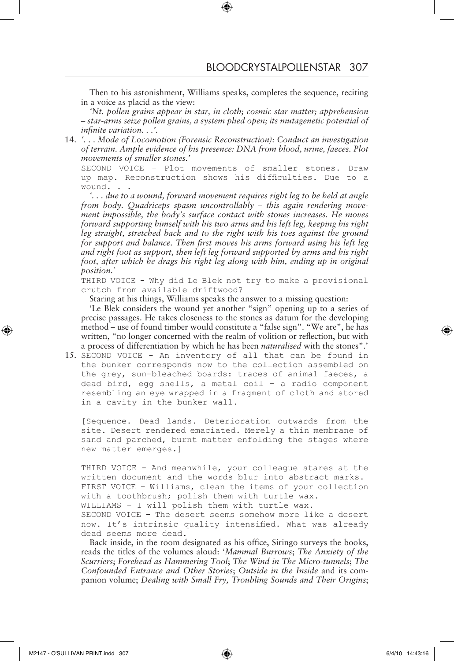Then to his astonishment, Williams speaks, completes the sequence, reciting in a voice as placid as the view:

 $\Theta$ 

*'Nt. pollen grains appear in star, in cloth; cosmic star matter; apprehension – star-arms seize pollen grains, a system plied open; its mutagenetic potential of infinite variation. . .'.*

14. *'*. . . *Mode of Locomotion (Forensic Reconstruction): Conduct an investigation of terrain. Ample evidence of his presence: DNA from blood, urine, faeces. Plot movements of smaller stones.'*

SECOND VOICE – Plot movements of smaller stones. Draw up map. Reconstruction shows his difficulties. Due to a wound. . .

*'. . . due to a wound, forward movement requires right leg to be held at angle from body. Quadriceps spasm uncontrollably – this again rendering movement impossible, the body's surface contact with stones increases. He moves forward supporting himself with his two arms and his left leg, keeping his right*  leg straight, stretched back and to the right with his toes against the ground *for support and balance. Then first moves his arms forward using his left leg and right foot as support, then left leg forward supported by arms and his right*  foot, after which he drags his right leg along with him, ending up in original *position.'*

THIRD VOICE - Why did Le Blek not try to make a provisional crutch from available driftwood?

Staring at his things, Williams speaks the answer to a missing question:

 'Le Blek considers the wound yet another "sign" opening up to a series of precise passages. He takes closeness to the stones as datum for the developing method – use of found timber would constitute a "false sign". "We are", he has written, "no longer concerned with the realm of volition or reflection, but with a process of differentiation by which he has been *naturalised* with the stones".'

15. SECOND VOICE - An inventory of all that can be found in the bunker corresponds now to the collection assembled on the grey, sun-bleached boards: traces of animal faeces, a dead bird, egg shells, a metal coil – a radio component resembling an eye wrapped in a fragment of cloth and stored in a cavity in the bunker wall.

[Sequence. Dead lands. Deterioration outwards from the site. Desert rendered emaciated. Merely a thin membrane of sand and parched, burnt matter enfolding the stages where new matter emerges.]

THIRD VOICE - And meanwhile, your colleague stares at the written document and the words blur into abstract marks. FIRST VOICE – Williams, clean the items of your collection with a toothbrush; polish them with turtle wax.

WILLIAMS – I will polish them with turtle wax.

SECOND VOICE - The desert seems somehow more like a desert now. It's intrinsic quality intensified. What was already dead seems more dead.

 Back inside, in the room designated as his office, Siringo surveys the books, reads the titles of the volumes aloud: '*Mammal Burrows*; *The Anxiety of the Scurriers*; *Forehead as Hammering Tool*; *The Wind in The Micro-tunnels*; *The Confounded Entrance and Other Stories*; *Outside in the Inside* and its companion volume; *Dealing with Small Fry, Troubling Sounds and Their Origins*;

⊕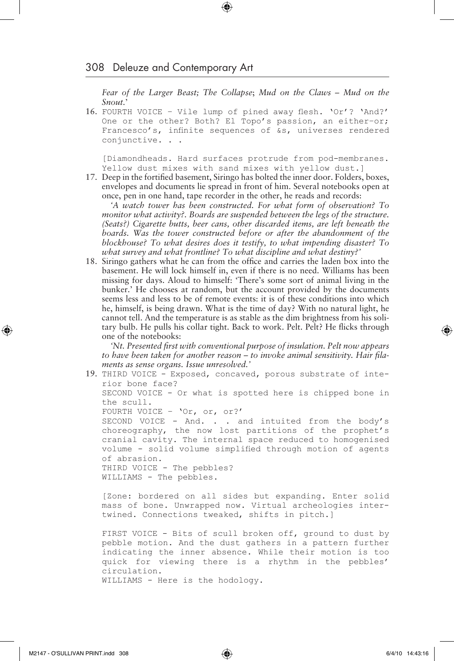*Fear of the Larger Beast; The Collapse*; *Mud on the Claws – Mud on the Snout.*'

16. FOURTH VOICE – Vile lump of pined away flesh. 'Or'? 'And?' One or the other? Both? El Topo's passion, an either-or; Francesco's, infinite sequences of &s, universes rendered conjunctive. . .

[Diamondheads. Hard surfaces protrude from pod-membranes. Yellow dust mixes with sand mixes with yellow dust.]

17. Deep in the fortified basement, Siringo has bolted the inner door. Folders, boxes, envelopes and documents lie spread in front of him. Several notebooks open at once, pen in one hand, tape recorder in the other, he reads and records:

*'A watch tower has been constructed. For what form of observation? To monitor what activity?. Boards are suspended between the legs of the structure. (Seats?) Cigarette butts, beer cans, other discarded items, are left beneath the boards. Was the tower constructed before or after the abandonment of the blockhouse? To what desires does it testify, to what impending disaster? To what survey and what frontline? To what discipline and what destiny?'*

18. Siringo gathers what he can from the office and carries the laden box into the basement. He will lock himself in, even if there is no need. Williams has been missing for days. Aloud to himself: 'There's some sort of animal living in the bunker.' He chooses at random, but the account provided by the documents seems less and less to be of remote events: it is of these conditions into which he, himself, is being drawn. What is the time of day? With no natural light, he cannot tell. And the temperature is as stable as the dim brightness from his solitary bulb. He pulls his collar tight. Back to work. Pelt. Pelt? He flicks through one of the notebooks:

*'Nt. Presented first with conventional purpose of insulation. Pelt now appears to have been taken for another reason – to invoke animal sensitivity. Hair filaments as sense organs. Issue unresolved.'*

19. THIRD VOICE - Exposed, concaved, porous substrate of interior bone face?

SECOND VOICE - Or what is spotted here is chipped bone in the scull.

FOURTH VOICE – 'Or, or, or?'

SECOND VOICE - And. . . and intuited from the body's choreography, the now lost partitions of the prophet's cranial cavity. The internal space reduced to homogenised volume - solid volume simplified through motion of agents of abrasion. THIRD VOICE - The pebbles? WILLIAMS - The pebbles.

[Zone: bordered on all sides but expanding. Enter solid mass of bone. Unwrapped now. Virtual archeologies intertwined. Connections tweaked, shifts in pitch.]

FIRST VOICE - Bits of scull broken off, ground to dust by pebble motion. And the dust gathers in a pattern further indicating the inner absence. While their motion is too quick for viewing there is a rhythm in the pebbles' circulation.

WILLIAMS - Here is the hodology.

⊕

⊕